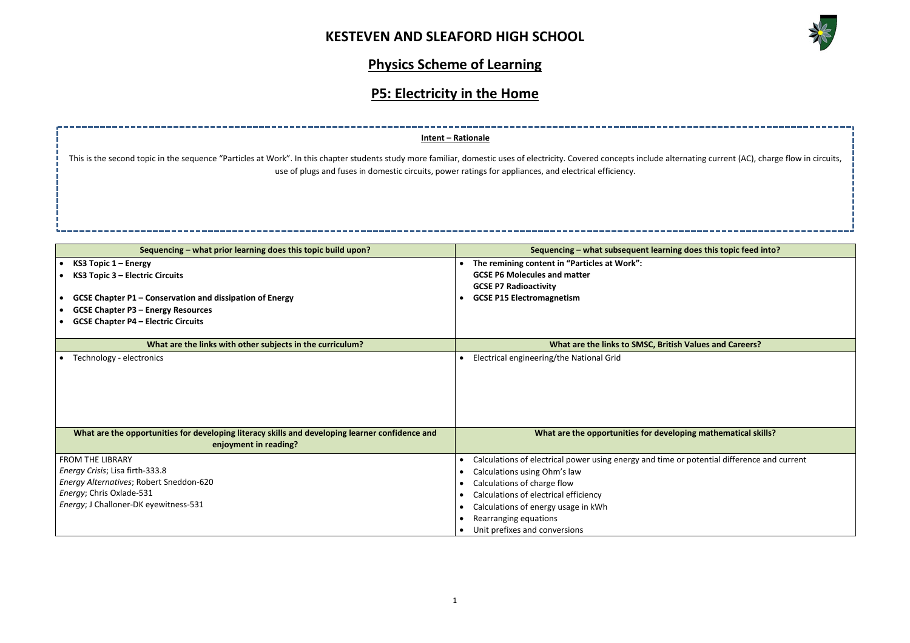

# **Physics Scheme of Learning**

# **P5: Electricity in the Home**

|                                                                                                                                                                                                                                                                                                          | Intent - Rationale                                              |                                                            |  |
|----------------------------------------------------------------------------------------------------------------------------------------------------------------------------------------------------------------------------------------------------------------------------------------------------------|-----------------------------------------------------------------|------------------------------------------------------------|--|
| This is the second topic in the sequence "Particles at Work". In this chapter students study more familiar, domestic uses of electricity. Covered concepts include alternating current (AC), on<br>use of plugs and fuses in domestic circuits, power ratings for appliances, and electrical efficiency. |                                                                 |                                                            |  |
|                                                                                                                                                                                                                                                                                                          |                                                                 |                                                            |  |
|                                                                                                                                                                                                                                                                                                          | Sequencing - what prior learning does this topic build upon?    | Sequencing - what subsequent learning does this topic feed |  |
|                                                                                                                                                                                                                                                                                                          | KS3 Topic $1 -$ Energy                                          | The remining content in "Particles at Work":<br>$\bullet$  |  |
|                                                                                                                                                                                                                                                                                                          | KS3 Topic 3 - Electric Circuits                                 | <b>GCSE P6 Molecules and matter</b>                        |  |
|                                                                                                                                                                                                                                                                                                          |                                                                 | <b>GCSE P7 Radioactivity</b>                               |  |
|                                                                                                                                                                                                                                                                                                          | <b>GCSE Chapter P1 - Conservation and dissipation of Energy</b> | <b>GCSE P15 Electromagnetism</b>                           |  |
|                                                                                                                                                                                                                                                                                                          | <b>GCSE Chapter P3 - Energy Resources</b>                       |                                                            |  |
|                                                                                                                                                                                                                                                                                                          | <b>GCSE Chapter P4 - Electric Circuits</b>                      |                                                            |  |
|                                                                                                                                                                                                                                                                                                          | What are the links with other subjects in the curriculum?       | What are the links to SMSC, British Values and Careers?    |  |
|                                                                                                                                                                                                                                                                                                          | Technology - electronics                                        | Electrical engineering/the National Grid                   |  |
|                                                                                                                                                                                                                                                                                                          |                                                                 |                                                            |  |
|                                                                                                                                                                                                                                                                                                          |                                                                 |                                                            |  |
|                                                                                                                                                                                                                                                                                                          |                                                                 |                                                            |  |
|                                                                                                                                                                                                                                                                                                          |                                                                 |                                                            |  |

| What are the opportunities for developing literacy skills and developing learner confidence and<br>enjoyment in reading? | What are the opportunities for developi                   |
|--------------------------------------------------------------------------------------------------------------------------|-----------------------------------------------------------|
| <b>FROM THE LIBRARY</b>                                                                                                  | Calculations of electrical power using energy and time or |
| Energy Crisis; Lisa firth-333.8                                                                                          | Calculations using Ohm's law                              |
| Energy Alternatives; Robert Sneddon-620                                                                                  | Calculations of charge flow                               |
| Energy; Chris Oxlade-531                                                                                                 | Calculations of electrical efficiency                     |
| Energy; J Challoner-DK eyewitness-531                                                                                    | Calculations of energy usage in kWh                       |
|                                                                                                                          | Rearranging equations                                     |
|                                                                                                                          | Unit prefixes and conversions                             |

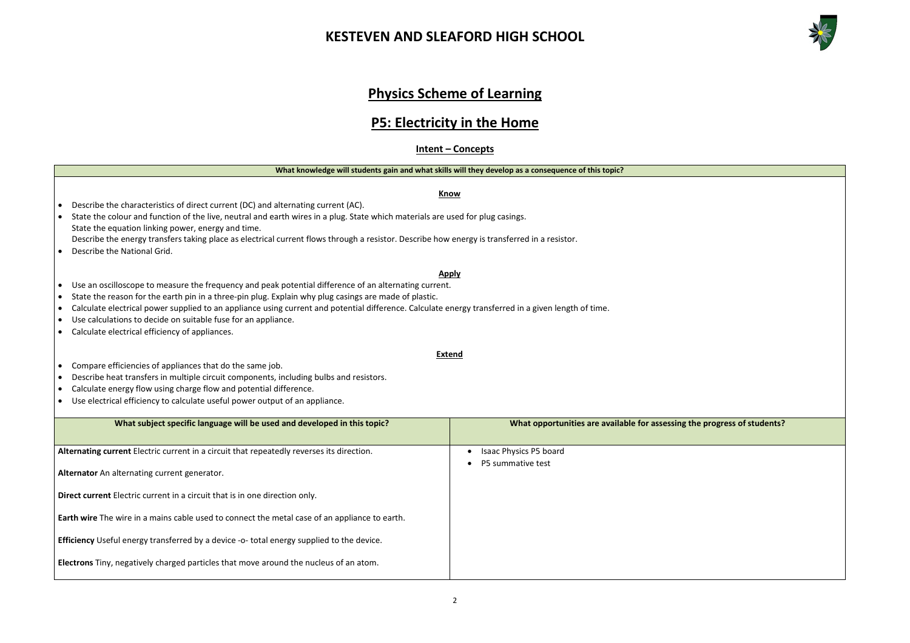### **Physics Scheme of Learning**

### **P5: Electricity in the Home**

**Intent – Concepts**

#### **What knowledge will students gain and what skills will they develop as a consequence of this topic?**

**Know**



**the progress of students?** 

• Describe the characteristics of direct current (DC) and alternating current (AC).

### • State the colour and function of the live, neutral and earth wires in a plug. State which materials are used for plug casings. State the equation linking power, energy and time.

- Describe the energy transfers taking place as electrical current flows through a resistor. Describe how energy is transferred in a resistor.
- Describe the National Grid.

**Apply**

### • Use an oscilloscope to measure the frequency and peak potential difference of an alternating current.

- State the reason for the earth pin in a three-pin plug. Explain why plug casings are made of plastic.
- Calculate electrical power supplied to an appliance using current and potential difference. Calculate energy transferred in a given length of time.
- Use calculations to decide on suitable fuse for an appliance.
- Calculate electrical efficiency of appliances.
- Compare efficiencies of appliances that do the same job.
- Describe heat transfers in multiple circuit components, including bulbs and resistors.
- Calculate energy flow using charge flow and potential difference.
- Use electrical efficiency to calculate useful power output of an appliance.

#### **Extend**

| What subject specific language will be used and developed in this topic?                         | What opportunities are available for assessing to |  |  |
|--------------------------------------------------------------------------------------------------|---------------------------------------------------|--|--|
| Alternating current Electric current in a circuit that repeatedly reverses its direction.        | Isaac Physics P5 board<br>P5 summative test       |  |  |
| Alternator An alternating current generator.                                                     |                                                   |  |  |
| Direct current Electric current in a circuit that is in one direction only.                      |                                                   |  |  |
| Earth wire The wire in a mains cable used to connect the metal case of an appliance to earth.    |                                                   |  |  |
| <b>Efficiency</b> Useful energy transferred by a device -o- total energy supplied to the device. |                                                   |  |  |
| Electrons Tiny, negatively charged particles that move around the nucleus of an atom.            |                                                   |  |  |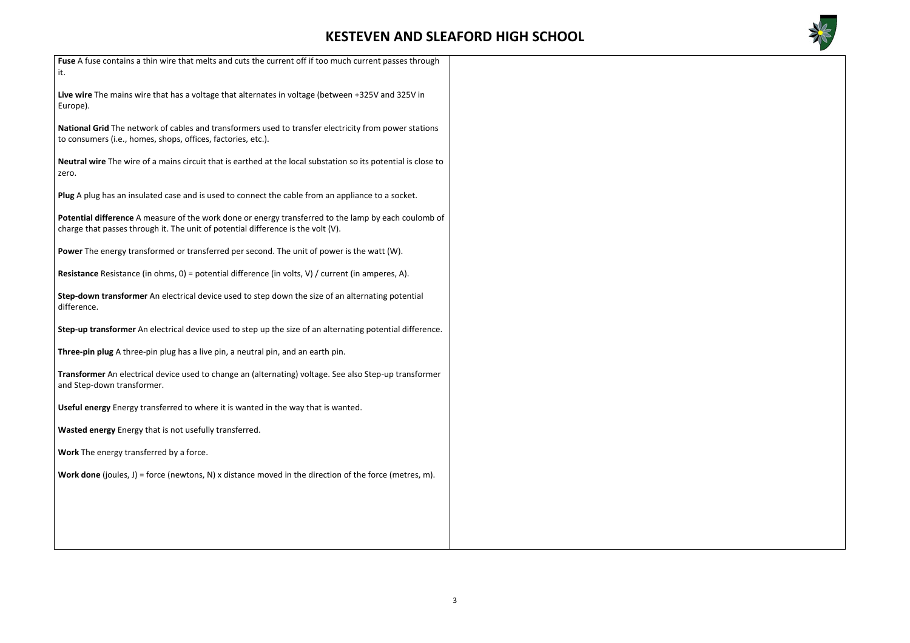

| Fuse A fuse contains a thin wire that melts and cuts the current off if too much current passes through<br>it.                                                                           |
|------------------------------------------------------------------------------------------------------------------------------------------------------------------------------------------|
| Live wire The mains wire that has a voltage that alternates in voltage (between +325V and 325V in<br>Europe).                                                                            |
| National Grid The network of cables and transformers used to transfer electricity from power stations<br>to consumers (i.e., homes, shops, offices, factories, etc.).                    |
| Neutral wire The wire of a mains circuit that is earthed at the local substation so its potential is close to<br>zero.                                                                   |
| Plug A plug has an insulated case and is used to connect the cable from an appliance to a socket.                                                                                        |
| Potential difference A measure of the work done or energy transferred to the lamp by each coulomb of<br>charge that passes through it. The unit of potential difference is the volt (V). |
| Power The energy transformed or transferred per second. The unit of power is the watt (W).                                                                                               |
| <b>Resistance</b> Resistance (in ohms, $0$ ) = potential difference (in volts, V) / current (in amperes, A).                                                                             |
| Step-down transformer An electrical device used to step down the size of an alternating potential<br>difference.                                                                         |
| Step-up transformer An electrical device used to step up the size of an alternating potential difference.                                                                                |
| Three-pin plug A three-pin plug has a live pin, a neutral pin, and an earth pin.                                                                                                         |
| Transformer An electrical device used to change an (alternating) voltage. See also Step-up transformer<br>and Step-down transformer.                                                     |
| Useful energy Energy transferred to where it is wanted in the way that is wanted.                                                                                                        |
| Wasted energy Energy that is not usefully transferred.                                                                                                                                   |
| Work The energy transferred by a force.                                                                                                                                                  |
| <b>Work done</b> (joules, J) = force (newtons, N) x distance moved in the direction of the force (metres, m).                                                                            |
|                                                                                                                                                                                          |
|                                                                                                                                                                                          |
|                                                                                                                                                                                          |